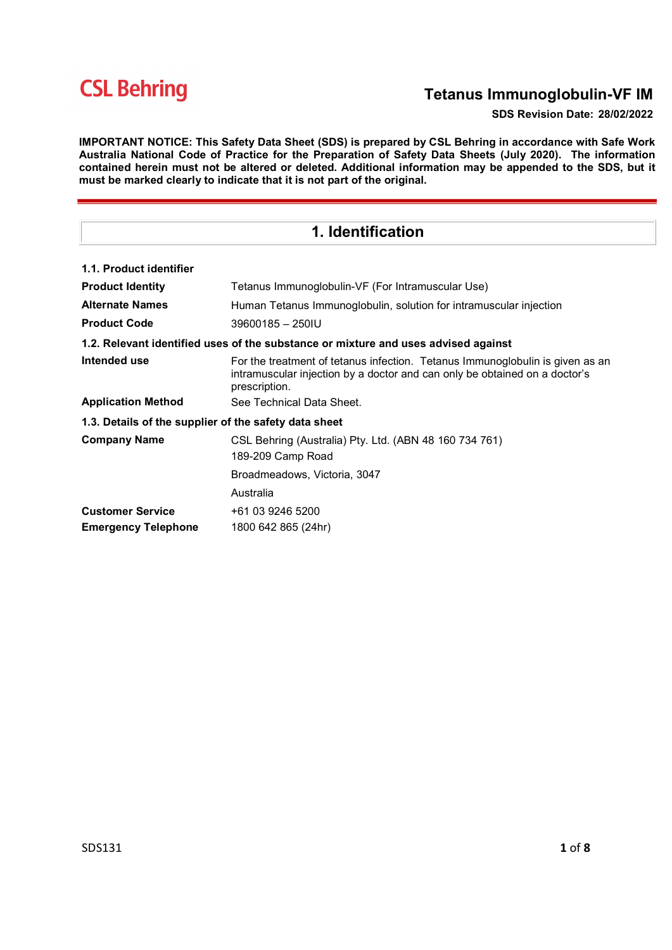# Tetanus Immunoglobulin-VF IM

#### SDS Revision Date: 28/02/2022

IMPORTANT NOTICE: This Safety Data Sheet (SDS) is prepared by CSL Behring in accordance with Safe Work Australia National Code of Practice for the Preparation of Safety Data Sheets (July 2020). The information contained herein must not be altered or deleted. Additional information may be appended to the SDS, but it must be marked clearly to indicate that it is not part of the original.

| 1. Identification                                                                  |                                                                                                                                                                              |  |  |
|------------------------------------------------------------------------------------|------------------------------------------------------------------------------------------------------------------------------------------------------------------------------|--|--|
| 1.1. Product identifier                                                            |                                                                                                                                                                              |  |  |
| <b>Product Identity</b>                                                            | Tetanus Immunoglobulin-VF (For Intramuscular Use)                                                                                                                            |  |  |
| <b>Alternate Names</b>                                                             | Human Tetanus Immunoglobulin, solution for intramuscular injection                                                                                                           |  |  |
| <b>Product Code</b>                                                                | 39600185 - 250IU                                                                                                                                                             |  |  |
| 1.2. Relevant identified uses of the substance or mixture and uses advised against |                                                                                                                                                                              |  |  |
| Intended use                                                                       | For the treatment of tetanus infection. Tetanus Immunoglobulin is given as an<br>intramuscular injection by a doctor and can only be obtained on a doctor's<br>prescription. |  |  |
| <b>Application Method</b>                                                          | See Technical Data Sheet.                                                                                                                                                    |  |  |
| 1.3. Details of the supplier of the safety data sheet                              |                                                                                                                                                                              |  |  |
| <b>Company Name</b>                                                                | CSL Behring (Australia) Pty. Ltd. (ABN 48 160 734 761)<br>189-209 Camp Road                                                                                                  |  |  |
|                                                                                    | Broadmeadows, Victoria, 3047                                                                                                                                                 |  |  |
|                                                                                    | Australia                                                                                                                                                                    |  |  |
| <b>Customer Service</b>                                                            | +61 03 9246 5200                                                                                                                                                             |  |  |
| <b>Emergency Telephone</b>                                                         | 1800 642 865 (24hr)                                                                                                                                                          |  |  |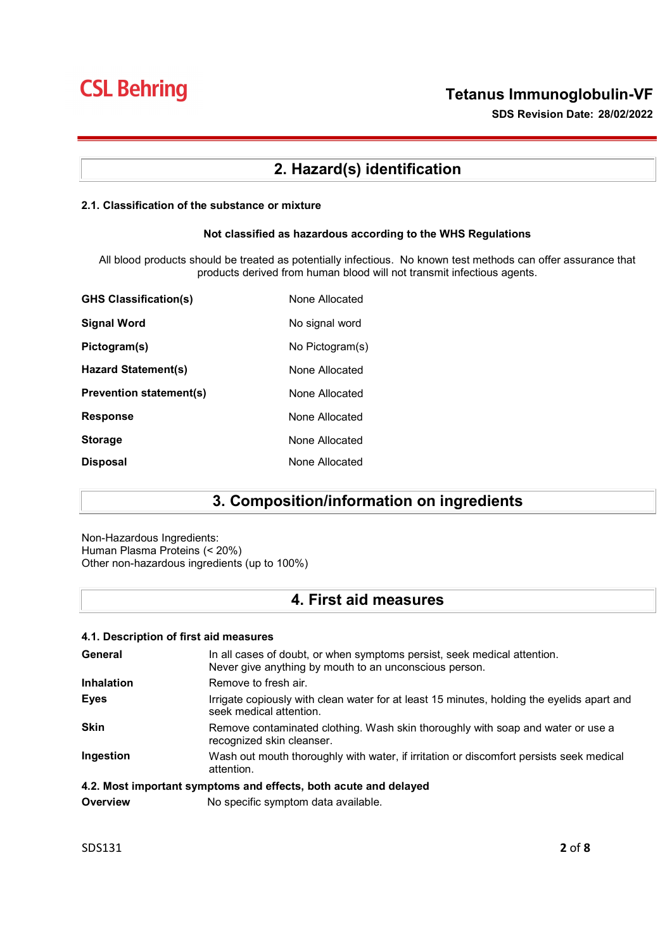SDS Revision Date: 28/02/2022

# 2. Hazard(s) identification

### 2.1. Classification of the substance or mixture

#### Not classified as hazardous according to the WHS Regulations

All blood products should be treated as potentially infectious. No known test methods can offer assurance that products derived from human blood will not transmit infectious agents.

| <b>GHS Classification(s)</b>   | None Allocated  |
|--------------------------------|-----------------|
| <b>Signal Word</b>             | No signal word  |
| Pictogram(s)                   | No Pictogram(s) |
| Hazard Statement(s)            | None Allocated  |
| <b>Prevention statement(s)</b> | None Allocated  |
| <b>Response</b>                | None Allocated  |
| <b>Storage</b>                 | None Allocated  |
| <b>Disposal</b>                | None Allocated  |

## 3. Composition/information on ingredients

Non-Hazardous Ingredients: Human Plasma Proteins (< 20%) Other non-hazardous ingredients (up to 100%)

## 4. First aid measures

## 4.1. Description of first aid measures

| General                                                          | In all cases of doubt, or when symptoms persist, seek medical attention.<br>Never give anything by mouth to an unconscious person. |  |
|------------------------------------------------------------------|------------------------------------------------------------------------------------------------------------------------------------|--|
| <b>Inhalation</b>                                                | Remove to fresh air.                                                                                                               |  |
| <b>Eyes</b>                                                      | Irrigate copiously with clean water for at least 15 minutes, holding the eyelids apart and<br>seek medical attention.              |  |
| <b>Skin</b>                                                      | Remove contaminated clothing. Wash skin thoroughly with soap and water or use a<br>recognized skin cleanser.                       |  |
| Ingestion                                                        | Wash out mouth thoroughly with water, if irritation or discomfort persists seek medical<br>attention.                              |  |
| 4.2. Most important symptoms and effects, both acute and delayed |                                                                                                                                    |  |

**Overview** No specific symptom data available.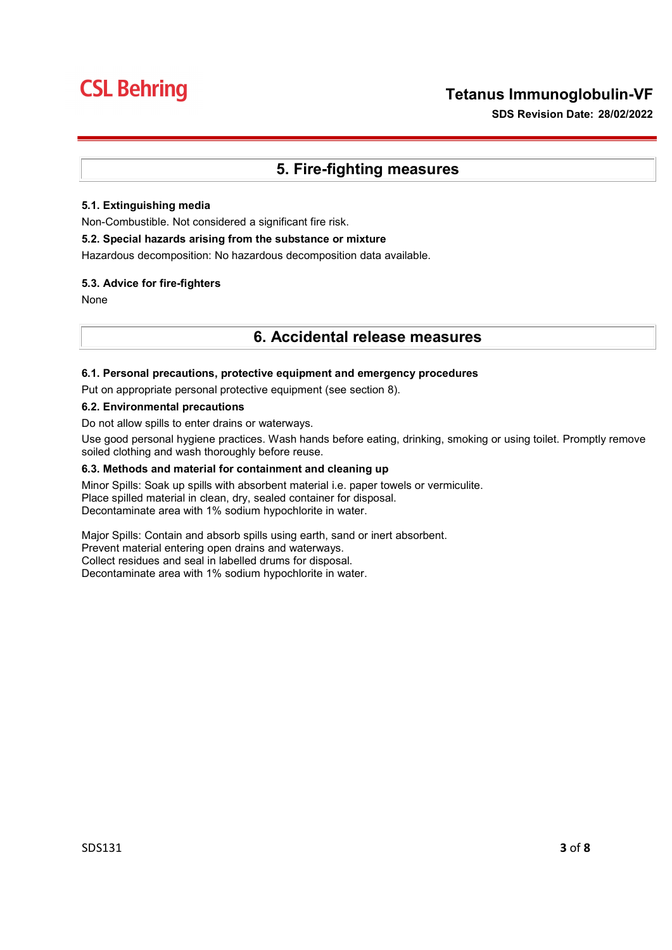SDS Revision Date: 28/02/2022

## 5. Fire-fighting measures

## 5.1. Extinguishing media

Non-Combustible. Not considered a significant fire risk.

## 5.2. Special hazards arising from the substance or mixture

Hazardous decomposition: No hazardous decomposition data available.

## 5.3. Advice for fire-fighters

None

## 6. Accidental release measures

## 6.1. Personal precautions, protective equipment and emergency procedures

Put on appropriate personal protective equipment (see section 8).

#### 6.2. Environmental precautions

Do not allow spills to enter drains or waterways.

Use good personal hygiene practices. Wash hands before eating, drinking, smoking or using toilet. Promptly remove soiled clothing and wash thoroughly before reuse.

### 6.3. Methods and material for containment and cleaning up

Minor Spills: Soak up spills with absorbent material i.e. paper towels or vermiculite. Place spilled material in clean, dry, sealed container for disposal. Decontaminate area with 1% sodium hypochlorite in water.

Major Spills: Contain and absorb spills using earth, sand or inert absorbent. Prevent material entering open drains and waterways. Collect residues and seal in labelled drums for disposal. Decontaminate area with 1% sodium hypochlorite in water.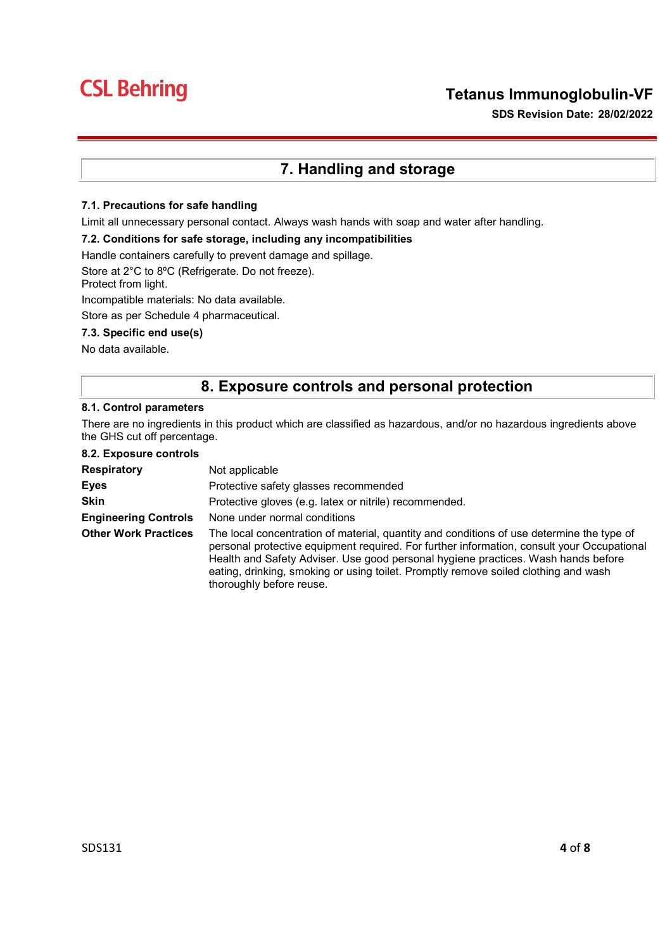## Tetanus Immunoglobulin-VF

SDS Revision Date: 28/02/2022

# 7. Handling and storage

## 7.1. Precautions for safe handling

Limit all unnecessary personal contact. Always wash hands with soap and water after handling.

#### 7.2. Conditions for safe storage, including any incompatibilities

Handle containers carefully to prevent damage and spillage.

Store at 2°C to 8ºC (Refrigerate. Do not freeze).

Protect from light.

Incompatible materials: No data available.

Store as per Schedule 4 pharmaceutical.

### 7.3. Specific end use(s)

No data available.

## 8. Exposure controls and personal protection

#### 8.1. Control parameters

There are no ingredients in this product which are classified as hazardous, and/or no hazardous ingredients above the GHS cut off percentage.

8.2. Exposure controls

| <b>Respiratory</b>          | Not applicable                                                                                                                                                                                                                                                                                                                                                                                  |  |
|-----------------------------|-------------------------------------------------------------------------------------------------------------------------------------------------------------------------------------------------------------------------------------------------------------------------------------------------------------------------------------------------------------------------------------------------|--|
| Eyes                        | Protective safety glasses recommended                                                                                                                                                                                                                                                                                                                                                           |  |
| <b>Skin</b>                 | Protective gloves (e.g. latex or nitrile) recommended.                                                                                                                                                                                                                                                                                                                                          |  |
| <b>Engineering Controls</b> | None under normal conditions                                                                                                                                                                                                                                                                                                                                                                    |  |
| <b>Other Work Practices</b> | The local concentration of material, quantity and conditions of use determine the type of<br>personal protective equipment required. For further information, consult your Occupational<br>Health and Safety Adviser. Use good personal hygiene practices. Wash hands before<br>eating, drinking, smoking or using toilet. Promptly remove soiled clothing and wash<br>thoroughly before reuse. |  |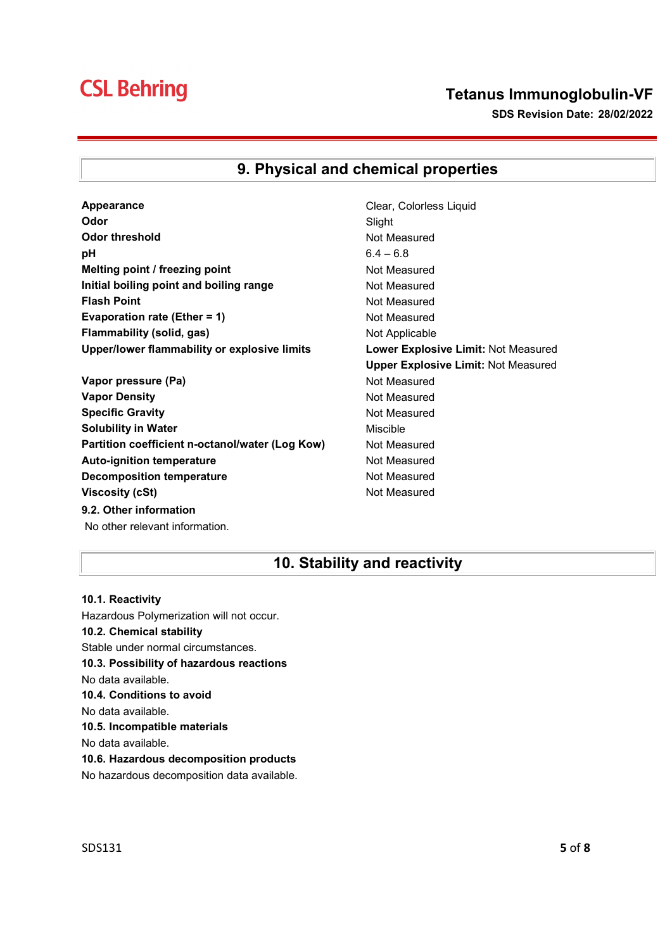# Tetanus Immunoglobulin-VF

SDS Revision Date: 28/02/2022

# 9. Physical and chemical properties

- **Appearance** Clear, Colorless Liquid **Odor** Slight Odor threshold Not Measured **pH** 6.4 – 6.8 Melting point / freezing point Not Measured Initial boiling point and boiling range Not Measured Flash Point **Not Measured** Not Measured Evaporation rate (Ether = 1) Not Measured Flammability (solid, gas) Not Applicable Upper/lower flammability or explosive limits Lower Explosive Limit: Not Measured
- Vapor pressure (Pa) Not Measured Vapor Density **Not Measured** Not Measured Specific Gravity **Not Measured** Not Measured Solubility in Water **Mischle** Miscible Partition coefficient n-octanol/water (Log Kow) Not Measured Auto-ignition temperature **Not Measured** Not Measured Decomposition temperature Not Measured Viscosity (cSt) and Measured Not Measured 9.2. Other information No other relevant information.
- Upper Explosive Limit: Not Measured

## 10. Stability and reactivity

10.1. Reactivity Hazardous Polymerization will not occur. 10.2. Chemical stability Stable under normal circumstances. 10.3. Possibility of hazardous reactions No data available. 10.4. Conditions to avoid No data available. 10.5. Incompatible materials No data available. 10.6. Hazardous decomposition products No hazardous decomposition data available.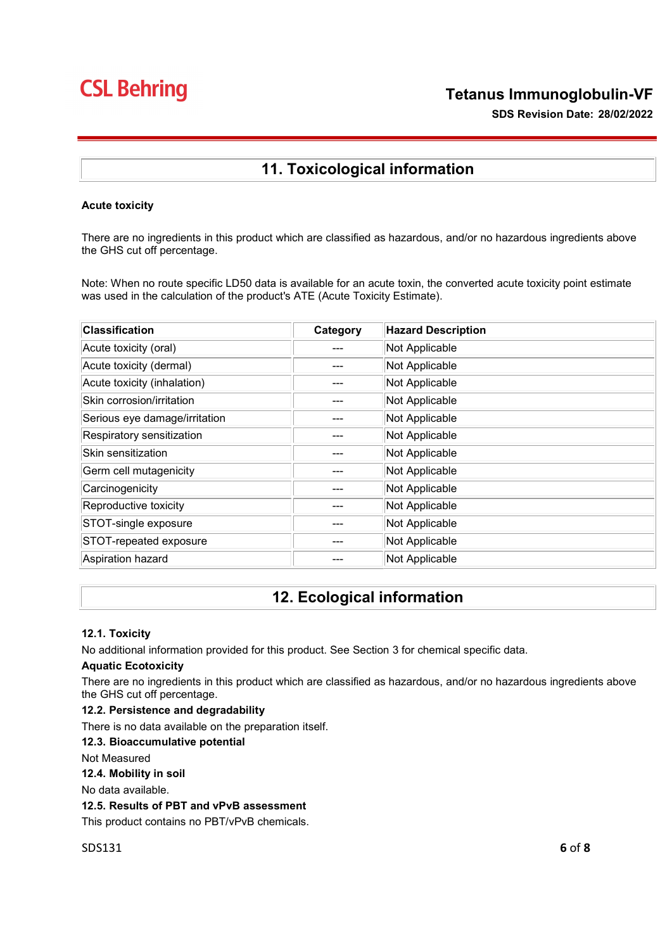SDS Revision Date: 28/02/2022

# 11. Toxicological information

## Acute toxicity

There are no ingredients in this product which are classified as hazardous, and/or no hazardous ingredients above the GHS cut off percentage.

Note: When no route specific LD50 data is available for an acute toxin, the converted acute toxicity point estimate was used in the calculation of the product's ATE (Acute Toxicity Estimate).

| <b>Classification</b>         | Category | <b>Hazard Description</b> |
|-------------------------------|----------|---------------------------|
| Acute toxicity (oral)         | ---      | Not Applicable            |
| Acute toxicity (dermal)       |          | Not Applicable            |
| Acute toxicity (inhalation)   |          | Not Applicable            |
| Skin corrosion/irritation     |          | Not Applicable            |
| Serious eye damage/irritation |          | Not Applicable            |
| Respiratory sensitization     |          | Not Applicable            |
| Skin sensitization            |          | Not Applicable            |
| Germ cell mutagenicity        |          | Not Applicable            |
| Carcinogenicity               |          | Not Applicable            |
| Reproductive toxicity         |          | Not Applicable            |
| STOT-single exposure          |          | Not Applicable            |
| STOT-repeated exposure        | ---      | Not Applicable            |
| Aspiration hazard             |          | Not Applicable            |

## 12. Ecological information

## 12.1. Toxicity

No additional information provided for this product. See Section 3 for chemical specific data.

## Aquatic Ecotoxicity

There are no ingredients in this product which are classified as hazardous, and/or no hazardous ingredients above the GHS cut off percentage.

#### 12.2. Persistence and degradability

There is no data available on the preparation itself.

## 12.3. Bioaccumulative potential

Not Measured

12.4. Mobility in soil

No data available.

## 12.5. Results of PBT and vPvB assessment

This product contains no PBT/vPvB chemicals.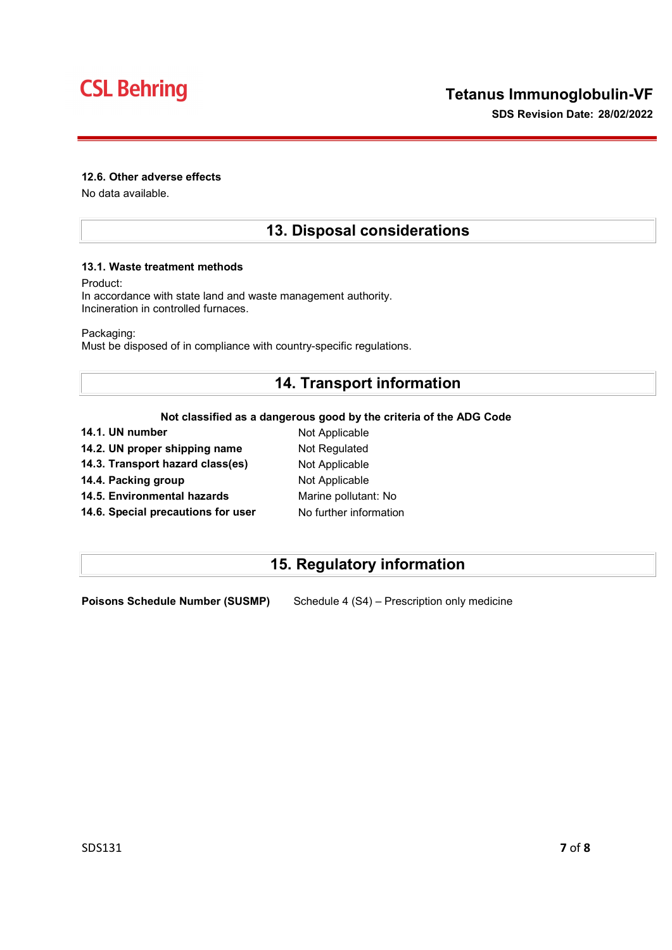### 12.6. Other adverse effects

No data available.

## 13. Disposal considerations

#### 13.1. Waste treatment methods

Product:

In accordance with state land and waste management authority. Incineration in controlled furnaces.

Packaging:

Must be disposed of in compliance with country-specific regulations.

## 14. Transport information

## Not classified as a dangerous good by the criteria of the ADG Code

| 14.1. UN number                    | Not Applicable         |
|------------------------------------|------------------------|
| 14.2. UN proper shipping name      | Not Regulated          |
| 14.3. Transport hazard class(es)   | Not Applicable         |
| 14.4. Packing group                | Not Applicable         |
| 14.5. Environmental hazards        | Marine pollutant: No   |
| 14.6. Special precautions for user | No further information |
|                                    |                        |

# 15. Regulatory information

Poisons Schedule Number (SUSMP) Schedule 4 (S4) – Prescription only medicine